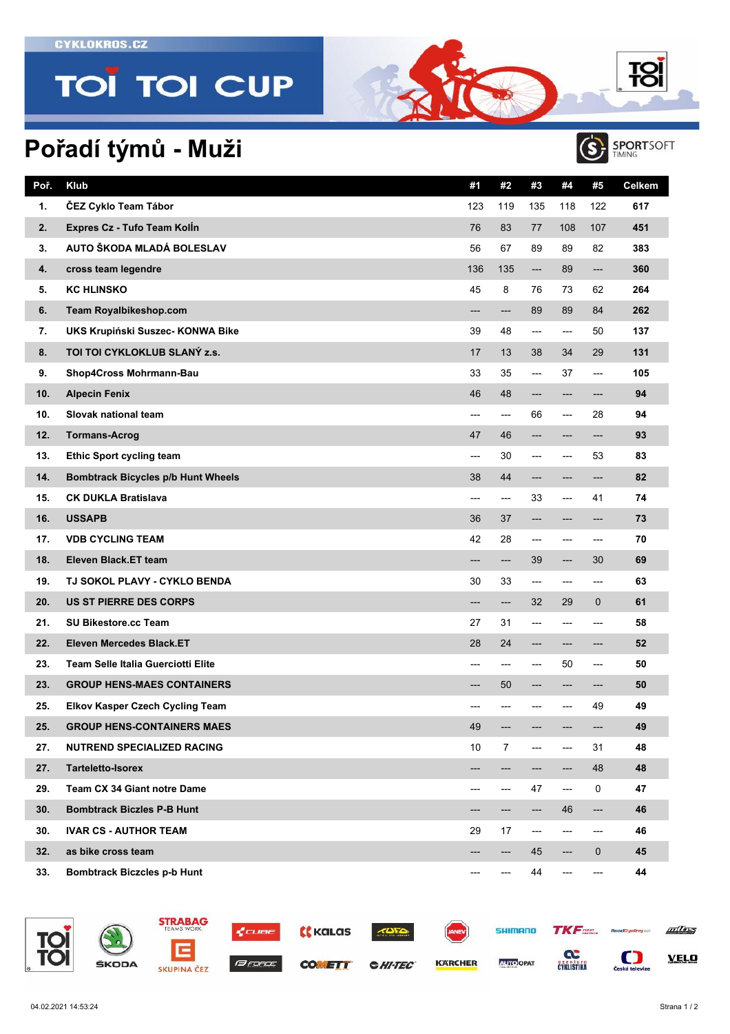**CYKLOKROS.CZ** 

## **TOI TOI CUP**

## **Pořadí týmů - Muži**

| Poř. | Klub                                      | #1             | #2  | #3                       | #4                     | #5          | Celkem |
|------|-------------------------------------------|----------------|-----|--------------------------|------------------------|-------------|--------|
| 1.   | ČEZ Cyklo Team Tábor                      | 123            | 119 | 135                      | 118                    | 122         | 617    |
| 2.   | Expres Cz - Tufo Team Kolln               | 76             | 83  | 77                       | 108                    | 107         | 451    |
| 3.   | AUTO ŠKODA MLADÁ BOLESLAV                 | 56             | 67  | 89                       | 89                     | 82          | 383    |
| 4.   | cross team legendre                       | 136            | 135 | ---                      | 89                     | ---         | 360    |
| 5.   | <b>KC HLINSKO</b>                         | 45             | 8   | 76                       | 73                     | 62          | 264    |
| 6.   | <b>Team Royalbikeshop.com</b>             | ---            | --- | 89                       | 89                     | 84          | 262    |
| 7.   | UKS Krupiński Suszec- KONWA Bike          | 39             | 48  | ---                      | ---                    | 50          | 137    |
| 8.   | TOI TOI CYKLOKLUB SLANÝ z.s.              | 17             | 13  | 38                       | 34                     | 29          | 131    |
| 9.   | Shop4Cross Mohrmann-Bau                   | 33             | 35  | ---                      | 37                     | ---         | 105    |
| 10.  | <b>Alpecin Fenix</b>                      | 46             | 48  | ---                      | ---                    | ---         | 94     |
| 10.  | Slovak national team                      | ---            | --- | 66                       | ---                    | 28          | 94     |
| 12.  | <b>Tormans-Acrog</b>                      | 47             | 46  | ---                      | ---                    | ---         | 93     |
| 13.  | <b>Ethic Sport cycling team</b>           | $\overline{a}$ | 30  | ---                      | ---                    | 53          | 83     |
| 14.  | <b>Bombtrack Bicycles p/b Hunt Wheels</b> | 38             | 44  | ---                      | ---                    | ---         | 82     |
| 15.  | <b>CK DUKLA Bratislava</b>                | ---            | --- | 33                       | ---                    | 41          | 74     |
| 16.  | <b>USSAPB</b>                             | 36             | 37  | ---                      | ---                    | ---         | 73     |
| 17.  | <b>VDB CYCLING TEAM</b>                   | 42             | 28  | $---$                    | $---$                  | ---         | 70     |
| 18.  | Eleven Black.ET team                      | ---            | --- | 39                       | ---                    | 30          | 69     |
| 19.  | TJ SOKOL PLAVY - CYKLO BENDA              | 30             | 33  | ---                      | ---                    | ---         | 63     |
| 20.  | <b>US ST PIERRE DES CORPS</b>             | ---            | --- | 32                       | 29                     | 0           | 61     |
| 21.  | <b>SU Bikestore.cc Team</b>               | 27             | 31  | ---                      | ---                    | ---         | 58     |
| 22.  | Eleven Mercedes Black.ET                  | 28             | 24  | ---                      | ---                    | ---         | 52     |
| 23.  | <b>Team Selle Italia Guerciotti Elite</b> | ---            | --- | ---                      | 50                     | ---         | 50     |
| 23.  | <b>GROUP HENS-MAES CONTAINERS</b>         | ---            | 50  | ---                      | ---                    | ---         | 50     |
| 25.  | <b>Elkov Kasper Czech Cycling Team</b>    | ---            |     |                          | ---                    | 49          | 49     |
| 25.  | <b>GROUP HENS-CONTAINERS MAES</b>         | 49             | --- | ---                      | ---                    | ---         | 49     |
| 27.  | <b>NUTREND SPECIALIZED RACING</b>         | 10             | 7   | ---                      | ---                    | 31          | 48     |
| 27.  | <b>Tarteletto-Isorex</b>                  |                |     |                          | ---                    | 48          | 48     |
| 29.  | <b>Team CX 34 Giant notre Dame</b>        | ---            | --- | 47                       | $\qquad \qquad \cdots$ | $\mathbf 0$ | 47     |
| 30.  | <b>Bombtrack Biczles P-B Hunt</b>         |                | --- | ---                      | 46                     | ---         | 46     |
| 30.  | <b>IVAR CS - AUTHOR TEAM</b>              | 29             | 17  | $\hspace{0.05cm} \ldots$ | ---                    | ---         | 46     |
| 32.  | as bike cross team                        | ---            | --- | 45                       | ---                    | 0           | 45     |
| 33.  | <b>Bombtrack Biczcles p-b Hunt</b>        | ---            | --- | 44                       | ---                    | ---         | 44     |



**TC** 

TC



 $\bigcirc$ **SPORTSOFT**